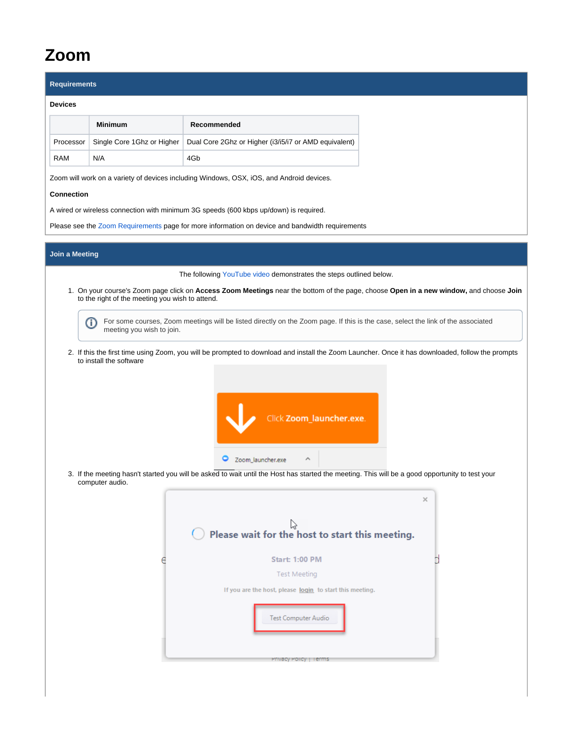## **Zoom**

| <b>Requirements</b>   |                                                 |                                                                                                                                                  |   |
|-----------------------|-------------------------------------------------|--------------------------------------------------------------------------------------------------------------------------------------------------|---|
| <b>Devices</b>        |                                                 |                                                                                                                                                  |   |
|                       | <b>Minimum</b>                                  | Recommended                                                                                                                                      |   |
| Processor             | Single Core 1Ghz or Higher                      | Dual Core 2Ghz or Higher (i3/i5/i7 or AMD equivalent)                                                                                            |   |
| RAM                   | N/A                                             | 4Gb                                                                                                                                              |   |
|                       |                                                 | Zoom will work on a variety of devices including Windows, OSX, iOS, and Android devices.                                                         |   |
| <b>Connection</b>     |                                                 |                                                                                                                                                  |   |
|                       |                                                 | A wired or wireless connection with minimum 3G speeds (600 kbps up/down) is required.                                                            |   |
|                       |                                                 | Please see the Zoom Requirements page for more information on device and bandwidth requirements                                                  |   |
| <b>Join a Meeting</b> |                                                 |                                                                                                                                                  |   |
|                       |                                                 | The following YouTube video demonstrates the steps outlined below.                                                                               |   |
|                       |                                                 | 1. On your course's Zoom page click on Access Zoom Meetings near the bottom of the page, choose Open in a new window, and choose Join            |   |
|                       | to the right of the meeting you wish to attend. |                                                                                                                                                  |   |
|                       | ⋒<br>meeting you wish to join.                  | For some courses, Zoom meetings will be listed directly on the Zoom page. If this is the case, select the link of the associated                 |   |
|                       |                                                 |                                                                                                                                                  |   |
|                       | to install the software                         | 2. If this the first time using Zoom, you will be prompted to download and install the Zoom Launcher. Once it has downloaded, follow the prompts |   |
|                       |                                                 |                                                                                                                                                  |   |
|                       |                                                 |                                                                                                                                                  |   |
|                       |                                                 | Click Zoom_launcher.exe.                                                                                                                         |   |
|                       |                                                 |                                                                                                                                                  |   |
|                       |                                                 |                                                                                                                                                  |   |
|                       |                                                 | Zoom_launcher.exe<br>0<br>Λ                                                                                                                      |   |
|                       | computer audio.                                 | 3. If the meeting hasn't started you will be asked to wait until the Host has started the meeting. This will be a good opportunity to test your  |   |
|                       |                                                 |                                                                                                                                                  | × |
|                       |                                                 | じ                                                                                                                                                |   |
|                       |                                                 | Please wait for the host to start this meeting.                                                                                                  |   |
|                       |                                                 | <b>Start: 1:00 PM</b>                                                                                                                            |   |
|                       |                                                 | <b>Test Meeting</b>                                                                                                                              |   |
|                       |                                                 | If you are the host, please login to start this meeting.                                                                                         |   |
|                       |                                                 |                                                                                                                                                  |   |
|                       |                                                 | Test Computer Audio                                                                                                                              |   |
|                       |                                                 |                                                                                                                                                  |   |
|                       |                                                 | Privacy Policy   Terms                                                                                                                           |   |
|                       |                                                 |                                                                                                                                                  |   |
|                       |                                                 |                                                                                                                                                  |   |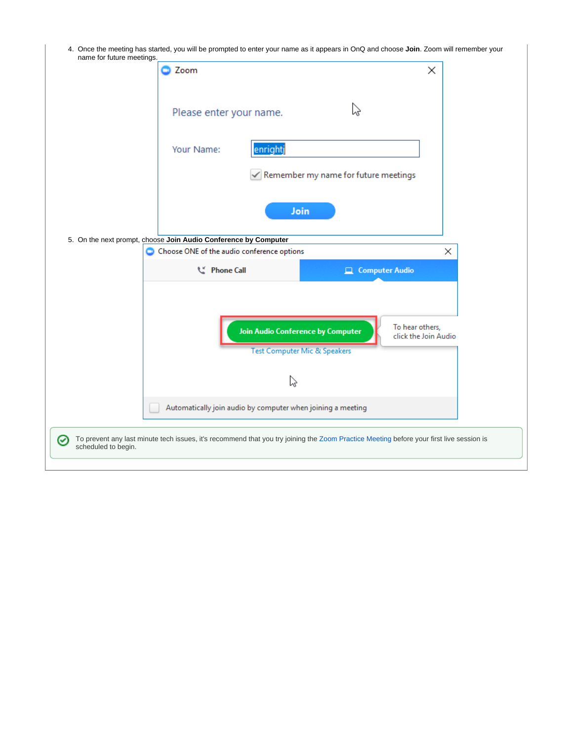4. Once the meeting has started, you will be prompted to enter your name as it appears in OnQ and choose **Join**. Zoom will remember your name for future meetings.

|                          | Zoom                                                                                                                                    | ×                                       |
|--------------------------|-----------------------------------------------------------------------------------------------------------------------------------------|-----------------------------------------|
|                          | hz<br>Please enter your name.                                                                                                           |                                         |
|                          | enrightj<br>Your Name:                                                                                                                  |                                         |
|                          | Remember my name for future meetings                                                                                                    |                                         |
|                          | Join                                                                                                                                    |                                         |
|                          | 5. On the next prompt, choose Join Audio Conference by Computer                                                                         |                                         |
|                          | Choose ONE of the audio conference options                                                                                              | ×                                       |
|                          |                                                                                                                                         |                                         |
|                          | L' Phone Call<br>д.                                                                                                                     | <b>Computer Audio</b>                   |
|                          | <b>Join Audio Conference by Computer</b><br><b>Test Computer Mic &amp; Speakers</b>                                                     | To hear others,<br>click the Join Audio |
|                          | い                                                                                                                                       |                                         |
|                          | Automatically join audio by computer when joining a meeting                                                                             |                                         |
| ☞<br>scheduled to begin. | To prevent any last minute tech issues, it's recommend that you try joining the Zoom Practice Meeting before your first live session is |                                         |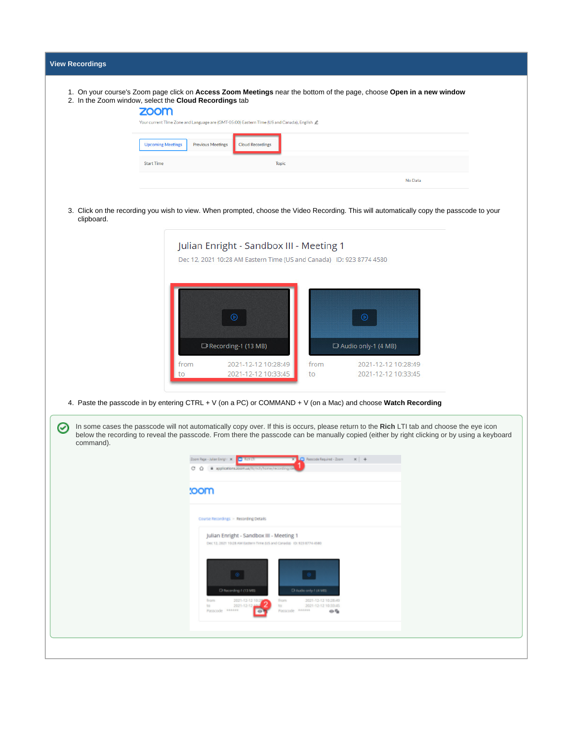|            | 1. On your course's Zoom page click on Access Zoom Meetings near the bottom of the page, choose Open in a new window                                                                                                                                                                     |
|------------|------------------------------------------------------------------------------------------------------------------------------------------------------------------------------------------------------------------------------------------------------------------------------------------|
|            | 2. In the Zoom window, select the Cloud Recordings tab<br>zoom                                                                                                                                                                                                                           |
|            | Your current Time Zone and Language are (GMT-05:00) Eastern Time (US and Canada), English 2                                                                                                                                                                                              |
|            | <b>Upcoming Meetings</b><br><b>Previous Meetings</b><br><b>Cloud Recordings</b>                                                                                                                                                                                                          |
|            | <b>Start Time</b><br><b>Topic</b>                                                                                                                                                                                                                                                        |
|            | No Data                                                                                                                                                                                                                                                                                  |
|            |                                                                                                                                                                                                                                                                                          |
| clipboard. | 3. Click on the recording you wish to view. When prompted, choose the Video Recording. This will automatically copy the passcode to your                                                                                                                                                 |
|            | Julian Enright - Sandbox III - Meeting 1                                                                                                                                                                                                                                                 |
|            | Dec 12, 2021 10:28 AM Eastern Time (US and Canada) ID: 923 8774 4580                                                                                                                                                                                                                     |
|            |                                                                                                                                                                                                                                                                                          |
|            |                                                                                                                                                                                                                                                                                          |
|            |                                                                                                                                                                                                                                                                                          |
|            |                                                                                                                                                                                                                                                                                          |
|            | D Recording-1 (13 MB)<br>D Audio only-1 (4 MB)                                                                                                                                                                                                                                           |
|            | 2021-12-12 10:28:49<br>from<br>from<br>2021-12-12 10:28:49                                                                                                                                                                                                                               |
|            |                                                                                                                                                                                                                                                                                          |
|            | 2021-12-12 10:33:45<br>2021-12-12 10:33:45<br>to<br>to                                                                                                                                                                                                                                   |
|            |                                                                                                                                                                                                                                                                                          |
|            | 4. Paste the passcode in by entering CTRL + V (on a PC) or COMMAND + V (on a Mac) and choose Watch Recording                                                                                                                                                                             |
|            | In some cases the passcode will not automatically copy over. If this is occurs, please return to the Rich LTI tab and choose the eye icon<br>below the recording to reveal the passcode. From there the passcode can be manually copied (either by right clicking or by using a keyboard |
| command).  |                                                                                                                                                                                                                                                                                          |
|            | Passcode Required - Zoom<br>Zoom Page - Julian Enright 3K<br>$x +$<br>cο<br><b>B</b> applications 304                                                                                                                                                                                    |
|            |                                                                                                                                                                                                                                                                                          |
|            | :oom                                                                                                                                                                                                                                                                                     |
|            | Course Recordings > Recording Details                                                                                                                                                                                                                                                    |
|            | Julian Enright - Sandbox III - Meeting 1                                                                                                                                                                                                                                                 |
|            | Dec 12, 2021 10:28 AM Eastern Time (US and Canada) (D) 923 8774 4580                                                                                                                                                                                                                     |
|            |                                                                                                                                                                                                                                                                                          |
|            | - 68                                                                                                                                                                                                                                                                                     |
| Ø          | Differenting 1 (13 MB)<br>Chludlo only-1 (4 Mb)<br>2021-12-12 10:<br>from<br>2021-12-12 10:28:49<br>from                                                                                                                                                                                 |
|            | to:<br>2021-12-12<br>to<br>2021-12-12 10:33:45<br>Passcode ******<br>Passcode Annun<br>◎昏                                                                                                                                                                                                |
|            |                                                                                                                                                                                                                                                                                          |